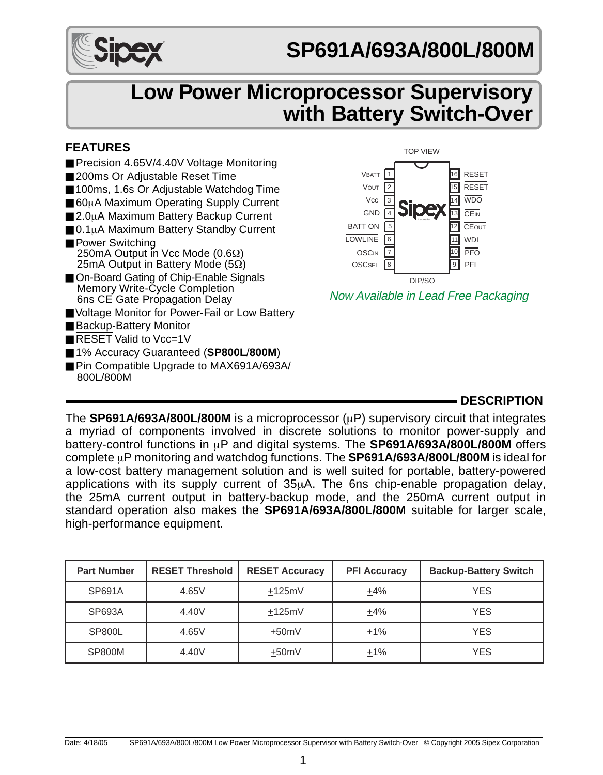

# **SP691A/693A/800L/800M**

# **Low Power Microprocessor Supervisory with Battery Switch-Over**

#### **FEATURES**

- Precision 4.65V/4.40V Voltage Monitoring
- 200ms Or Adjustable Reset Time
- 100ms, 1.6s Or Adjustable Watchdog Time
- 60µA Maximum Operating Supply Current
- 2.0µA Maximum Battery Backup Current
- 0.1µA Maximum Battery Standby Current
- Power Switching 250mA Output in Vcc Mode (0.6Ω) 25mA Output in Battery Mode (5Ω)
- On-Board Gating of Chip-Enable Signals Memory Write-Cycle Completion 6ns CE Gate Propagation Delay
- Voltage Monitor for Power-Fail or Low Battery
- Backup-Battery Monitor
- RESET Valid to Vcc=1V
- 1% Accuracy Guaranteed (SP800L/800M)
- Pin Compatible Upgrade to MAX691A/693A/ 800L/800M



Now Available in Lead Free Packaging

## **DESCRIPTION**

The **SP691A/693A/800L/800M** is a microprocessor (uP) supervisory circuit that integrates a myriad of components involved in discrete solutions to monitor power-supply and battery-control functions in µP and digital systems. The **SP691A/693A/800L/800M** offers complete µP monitoring and watchdog functions. The **SP691A/693A/800L/800M** is ideal for a low-cost battery management solution and is well suited for portable, battery-powered applications with its supply current of 35µA. The 6ns chip-enable propagation delay, the 25mA current output in battery-backup mode, and the 250mA current output in standard operation also makes the **SP691A/693A/800L/800M** suitable for larger scale, high-performance equipment.

| <b>Part Number</b> | <b>RESET Threshold</b> | <b>RESET Accuracy</b> | <b>PFI Accuracy</b> | <b>Backup-Battery Switch</b> |
|--------------------|------------------------|-----------------------|---------------------|------------------------------|
| SP691A             | 4.65V                  | $+125mV$              | $+4%$               | <b>YES</b>                   |
| SP693A             | 4.40V                  | $+125mV$              | $+4%$               | <b>YES</b>                   |
| SP800L             | 4.65V                  | $+50mV$               | $+1%$               | <b>YES</b>                   |
| <b>SP800M</b>      | 4.40V                  | $+50mV$               | $+1%$               | <b>YES</b>                   |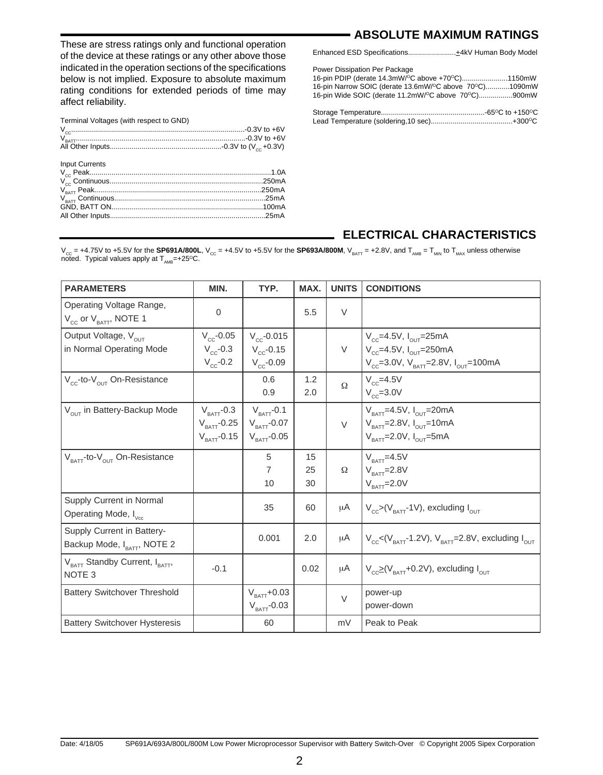These are stress ratings only and functional operation of the device at these ratings or any other above those indicated in the operation sections of the specifications below is not implied. Exposure to absolute maximum rating conditions for extended periods of time may affect reliability.

| Terminal Voltages (with respect to GND) |        |
|-----------------------------------------|--------|
| <b>Input Currents</b>                   |        |
|                                         |        |
|                                         |        |
|                                         | .250mA |
|                                         |        |
|                                         |        |
|                                         |        |

## **ABSOLUTE MAXIMUM RATINGS**

| Enhanced ESD Specifications+4kV Human Body Model |  |
|--------------------------------------------------|--|
|--------------------------------------------------|--|

Power Dissipation Per Package

| 16-pin PDIP (derate 14.3mW/°C above +70°C)1150mW       |  |
|--------------------------------------------------------|--|
| 16-pin Narrow SOIC (derate 13.6mW/°C above 70°C)1090mW |  |
| 16-pin Wide SOIC (derate 11.2mW/°C above 70°C)900mW    |  |
|                                                        |  |
|                                                        |  |

Storage Temperature....................................................-65OC to +150OC Lead Temperature (soldering,10 sec).........................................+300OC

#### **ELECTRICAL CHARACTERISTICS**

V<sub>cc</sub> = +4.75V to +5.5V for the **SP691A/800L**, V<sub>cc</sub> = +4.5V to +5.5V for the **SP693A/800M**, V<sub>BATT</sub> = +2.8V, and T<sub>AMB</sub> = T<sub>MIN</sub> to T<sub>MAX</sub> unless otherwise<br>noted. Typical values apply at T<sub>AMB</sub>=+25<sup>o</sup>C.

| <b>PARAMETERS</b>                                                        | MIN.                                                                       | TYP.                                                               | MAX.           | <b>UNITS</b> | <b>CONDITIONS</b>                                                                                                                                    |
|--------------------------------------------------------------------------|----------------------------------------------------------------------------|--------------------------------------------------------------------|----------------|--------------|------------------------------------------------------------------------------------------------------------------------------------------------------|
| Operating Voltage Range,<br>$V_{\text{cc}}$ or $V_{\text{BAT}}$ , NOTE 1 | $\Omega$                                                                   |                                                                    | 5.5            | V            |                                                                                                                                                      |
| Output Voltage, V <sub>OUT</sub><br>in Normal Operating Mode             | $V_{cc}$ -0.05<br>$V_{\rm cc}$ -0.3<br>$V_{\rm cc}$ -0.2                   | $V_{cc}$ -0.015<br>$V_{cc}$ -0.15<br>$V_{cc}$ -0.09                |                | $\vee$       | $V_{cc}$ =4.5V, $I_{OUT}$ =25mA<br>$V_{cc}$ =4.5V, $I_{OUT}$ =250mA<br>$V_{cc}$ =3.0V, $V_{BAT}$ =2.8V, $I_{OUT}$ =100mA                             |
| $V_{cc}$ -to- $V_{OUT}$ On-Resistance                                    |                                                                            | 0.6<br>0.9                                                         | 1.2<br>2.0     | $\Omega$     | $V_{cc}$ =4.5V<br>$V_{cc}$ =3.0V                                                                                                                     |
| V <sub>OUT</sub> in Battery-Backup Mode                                  | $V_{\text{BATT}}$ -0.3<br>$V_{\text{BAT}}$ -0.25<br>$V_{\text{BAT}}$ -0.15 | $V_{BAT}$ -0.1<br>$V_{\text{BAT}}$ -0.07<br>$V_{\text{BAT}}$ -0.05 |                | V            | $V_{\text{BATT}} = 4.5V, I_{\text{OUT}} = 20mA$<br>$V_{\text{BATT}}$ =2.8V, $I_{\text{OUT}}$ =10mA<br>$V_{\text{part}}$ =2.0V, $I_{\text{out}}$ =5mA |
| V <sub>BATT</sub> -to-V <sub>OUT</sub> On-Resistance                     |                                                                            | 5<br>$\overline{7}$<br>10                                          | 15<br>25<br>30 | Ω            | $V_{BAT} = 4.5V$<br>$V_{BATT}$ =2.8V<br>$V_{\text{BAT}} = 2.0 V$                                                                                     |
| Supply Current in Normal<br>Operating Mode, I <sub>vcc</sub>             |                                                                            | 35                                                                 | 60             | μA           | $V_{\rm cc}$ >(V <sub>BATT</sub> -1V), excluding $I_{\rm out}$                                                                                       |
| Supply Current in Battery-<br>Backup Mode, IBATT, NOTE 2                 |                                                                            | 0.001                                                              | 2.0            | μA           | $V_{\text{c.c}}$ <(V <sub>BATT</sub> -1.2V), V <sub>BATT</sub> =2.8V, excluding $I_{\text{out}}$                                                     |
| V <sub>BATT</sub> Standby Current, I <sub>BATT</sub> ,<br>NOTE 3         | $-0.1$                                                                     |                                                                    | 0.02           | μA           | $V_{\text{cc}}\geq (V_{\text{BAT}}+0.2V)$ , excluding $I_{\text{OUT}}$                                                                               |
| <b>Battery Switchover Threshold</b>                                      |                                                                            | $V_{\text{BAT}}$ +0.03<br>$V_{\text{BAT}}$ -0.03                   |                | $\vee$       | power-up<br>power-down                                                                                                                               |
| <b>Battery Switchover Hysteresis</b>                                     |                                                                            | 60                                                                 |                | mV           | Peak to Peak                                                                                                                                         |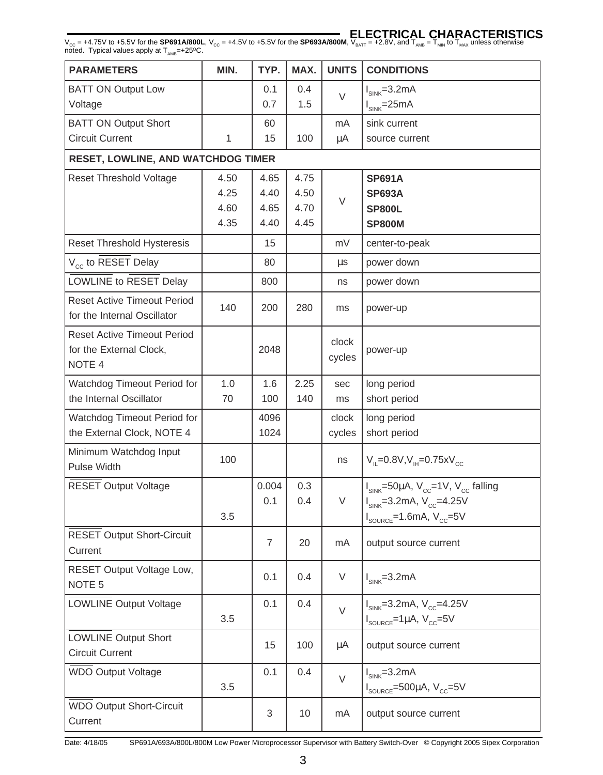#### **ELECTRICAL CHARACTERISTICS**

V<sub>cc</sub> = +4.75V to +5.5V for the **SP691A/800L**, V<sub>cc</sub> = +4.5V to +5.5V for the **SP693A/800M**, V<sub>BATT</sub> = +2.8V, and T<sub>AMB</sub> = T<sub>MIN</sub> to T<sub>MAX</sub> unless otherwise<br>noted. Typical values apply at T<sub>AMB</sub>=+25<sup>o</sup>C.

| <b>PARAMETERS</b>                                                                  | MIN. | TYP.  | MAX. | <b>UNITS</b>    | <b>CONDITIONS</b>                                         |
|------------------------------------------------------------------------------------|------|-------|------|-----------------|-----------------------------------------------------------|
| <b>BATT ON Output Low</b>                                                          |      | 0.1   | 0.4  | $\vee$          | $I_{SINK} = 3.2mA$                                        |
| Voltage                                                                            |      | 0.7   | 1.5  |                 | $I_{SINK} = 25mA$                                         |
| <b>BATT ON Output Short</b>                                                        |      | 60    |      | mA              | sink current                                              |
| <b>Circuit Current</b>                                                             | 1    | 15    | 100  | μA              | source current                                            |
| <b>RESET, LOWLINE, AND WATCHDOG TIMER</b>                                          |      |       |      |                 |                                                           |
| Reset Threshold Voltage                                                            | 4.50 | 4.65  | 4.75 |                 | <b>SP691A</b>                                             |
|                                                                                    | 4.25 | 4.40  | 4.50 | $\vee$          | <b>SP693A</b>                                             |
|                                                                                    | 4.60 | 4.65  | 4.70 |                 | <b>SP800L</b>                                             |
|                                                                                    | 4.35 | 4.40  | 4.45 |                 | <b>SP800M</b>                                             |
| Reset Threshold Hysteresis                                                         |      | 15    |      | mV              | center-to-peak                                            |
| V <sub>cc</sub> to RESET Delay                                                     |      | 80    |      | μs              | power down                                                |
| LOWLINE to RESET Delay                                                             |      | 800   |      | ns              | power down                                                |
| <b>Reset Active Timeout Period</b><br>for the Internal Oscillator                  | 140  | 200   | 280  | ms              | power-up                                                  |
| <b>Reset Active Timeout Period</b><br>for the External Clock,<br>NOTE <sub>4</sub> |      | 2048  |      | clock<br>cycles | power-up                                                  |
| Watchdog Timeout Period for                                                        | 1.0  | 1.6   | 2.25 | sec             | long period                                               |
| the Internal Oscillator                                                            | 70   | 100   | 140  | ms              | short period                                              |
| Watchdog Timeout Period for                                                        |      | 4096  |      | clock           | long period                                               |
| the External Clock, NOTE 4                                                         |      | 1024  |      | cycles          | short period                                              |
| Minimum Watchdog Input<br>Pulse Width                                              | 100  |       |      | ns              | $V_{\parallel} = 0.8 V, V_{\parallel} = 0.75 x V_{\odot}$ |
| <b>RESET Output Voltage</b>                                                        |      | 0.004 | 0.3  |                 | $I_{SINK}$ =50µA, $V_{cc}$ =1V, $V_{cc}$ falling          |
|                                                                                    |      | 0.1   | 0.4  | V               | $I_{SINK} = 3.2mA, V_{CC} = 4.25V$                        |
|                                                                                    | 3.5  |       |      |                 | $I_{\text{source}} = 1.6 \text{mA}, V_{\text{cc}} = 5V$   |
| <b>RESET Output Short-Circuit</b><br>Current                                       |      | 7     | 20   | mA              | output source current                                     |
| RESET Output Voltage Low,<br>NOTE <sub>5</sub>                                     |      | 0.1   | 0.4  | V               | $I_{SINK} = 3.2mA$                                        |
| LOWLINE Output Voltage                                                             |      | 0.1   | 0.4  | $\vee$          | $I_{SINK} = 3.2mA, V_{CC} = 4.25V$                        |
|                                                                                    | 3.5  |       |      |                 | $I_{\text{source}} = 1 \mu A$ , $V_{\text{cc}} = 5V$      |
| <b>LOWLINE Output Short</b><br><b>Circuit Current</b>                              |      | 15    | 100  | μA              | output source current                                     |
| <b>WDO Output Voltage</b>                                                          |      | 0.1   | 0.4  | $\vee$          | $I_{SINK} = 3.2mA$                                        |
|                                                                                    | 3.5  |       |      |                 | $I_{\text{source}} = 500 \mu A, V_{\text{CC}} = 5V$       |
| <b>WDO Output Short-Circuit</b>                                                    |      | 3     | 10   | mA              | output source current                                     |
| Current                                                                            |      |       |      |                 |                                                           |

Date: 4/18/05 SP691A/693A/800L/800M Low Power Microprocessor Supervisor with Battery Switch-Over © Copyright 2005 Sipex Corporation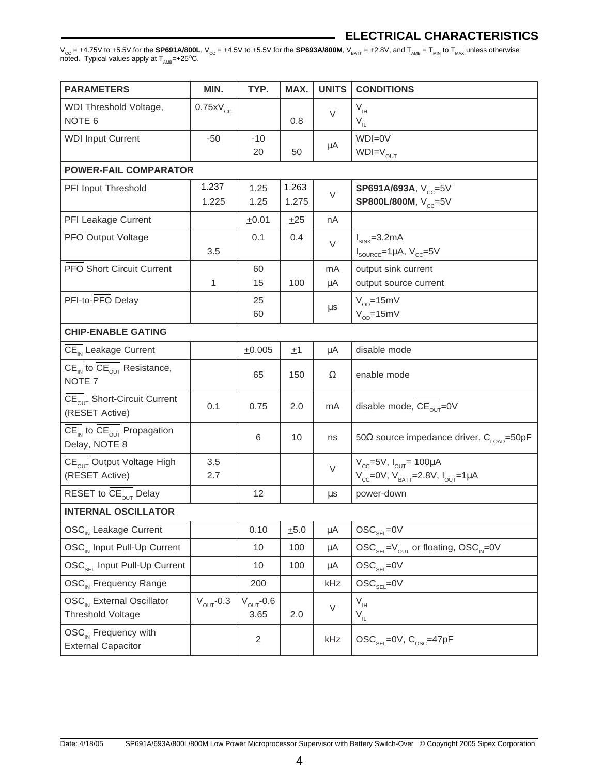#### **ELECTRICAL CHARACTERISTICS**

V<sub>cc</sub> = +4.75V to +5.5V for the **SP691A/800L**, V<sub>cc</sub> = +4.5V to +5.5V for the **SP693A/800M**, V<sub>BATT</sub> = +2.8V, and T<sub>AMB</sub> = T<sub>MIN</sub> to T<sub>MAX</sub> unless otherwise<br>noted. Typical values apply at T<sub>AMB</sub>=+25<sup>o</sup>C.

| <b>PARAMETERS</b>                                                                                          | MIN.                  | TYP.                   | MAX.           | <b>UNITS</b> | <b>CONDITIONS</b>                                                                     |
|------------------------------------------------------------------------------------------------------------|-----------------------|------------------------|----------------|--------------|---------------------------------------------------------------------------------------|
| WDI Threshold Voltage,<br>NOTE <sub>6</sub>                                                                | $0.75xV_{cc}$         |                        | 0.8            | $\vee$       | $V_{\rm IH}$<br>$V_{IL}$                                                              |
| <b>WDI Input Current</b>                                                                                   | -50                   | $-10$                  |                | $\mu A$      | WDI=0V                                                                                |
|                                                                                                            |                       | 20                     | 50             |              | $WDI=V_{OUT}$                                                                         |
| <b>POWER-FAIL COMPARATOR</b>                                                                               |                       |                        |                |              |                                                                                       |
| PFI Input Threshold                                                                                        | 1.237<br>1.225        | 1.25<br>1.25           | 1.263<br>1.275 | $\vee$       | SP691A/693A, V <sub>cc</sub> =5V<br>SP800L/800M, V <sub>cc</sub> =5V                  |
| PFI Leakage Current                                                                                        |                       | ±0.01                  | ±25            | nA           |                                                                                       |
| PFO Output Voltage                                                                                         | 3.5                   | 0.1                    | 0.4            | $\vee$       | $I_{SINK} = 3.2mA$<br>$I_{\text{sourec}} = 1 \mu A$ , $V_{\text{cc}} = 5V$            |
| <b>PFO Short Circuit Current</b>                                                                           |                       | 60                     |                | mA           | output sink current                                                                   |
|                                                                                                            | 1                     | 15                     | 100            | μA           | output source current                                                                 |
| PFI-to-PFO Delay                                                                                           |                       | 25<br>60               |                | μs           | $V_{\text{on}}$ =15mV<br>$V_{OD} = 15$ mV                                             |
| <b>CHIP-ENABLE GATING</b>                                                                                  |                       |                        |                |              |                                                                                       |
| $\overline{\text{CE}_{\text{IN}}}$ Leakage Current                                                         |                       | ±0.005                 | ±1             | μA           | disable mode                                                                          |
| $\overline{\text{CE}_{\text{IN}}}$ to $\overline{\text{CE}_{\text{OUT}}}$ Resistance,<br>NOTE <sub>7</sub> |                       | 65                     | 150            | Ω            | enable mode                                                                           |
| $\overline{\text{CE}_{\text{out}}}$ Short-Circuit Current<br>(RESET Active)                                | 0.1                   | 0.75                   | 2.0            | mA           | disable mode, CE <sub>OUT</sub> =0V                                                   |
| $\overline{\text{CE}_{\text{IN}}}$ to $\overline{\text{CE}_{\text{OUT}}}$ Propagation<br>Delay, NOTE 8     |                       | 6                      | 10             | ns           | 50 $\Omega$ source impedance driver, $C_{\text{LOAD}}$ =50pF                          |
| $\overline{\text{CE}}_{\text{OUT}}$ Output Voltage High<br>(RESET Active)                                  | 3.5<br>2.7            |                        |                | V            | $V_{cc}$ =5V, $I_{OUT}$ = 100µA<br>$V_{cc}$ =0V, $V_{BATT}$ =2.8V, $I_{OUT}$ =1µA     |
| RESET to CE <sub>OUT</sub> Delay                                                                           |                       | 12                     |                | μs           | power-down                                                                            |
| <b>INTERNAL OSCILLATOR</b>                                                                                 |                       |                        |                |              |                                                                                       |
| OSC <sub>IN</sub> Leakage Current                                                                          |                       | 0.10                   | ±5.0           | μA           | $\text{OSC}_{\text{SEL}}$ =0V                                                         |
| OSC <sub>IN</sub> Input Pull-Up Current                                                                    |                       | 10                     | 100            | μA           | $\text{OSC}_{\text{SEL}} = V_{\text{OUT}}$ or floating, $\text{OSC}_{\text{IN}} = 0V$ |
| OSC <sub>SEL</sub> Input Pull-Up Current                                                                   |                       | 10                     | 100            | μA           | $\text{OSC}_{\text{SEL}}$ =0V                                                         |
| OSC <sub>IN</sub> Frequency Range                                                                          |                       | 200                    |                | kHz          | $\text{OSC}_{\text{SEL}}\text{=0V}$                                                   |
| OSC <sub>IN</sub> External Oscillator<br><b>Threshold Voltage</b>                                          | $V_{\text{OUT}}$ -0.3 | $V_{OUT}$ -0.6<br>3.65 | 2.0            | V            | $V_{\text{H}}$<br>$V_{IL}$                                                            |
| OSC <sub>IN</sub> Frequency with<br><b>External Capacitor</b>                                              |                       | 2                      |                | kHz          | $\text{OSC}_{\text{SEI}}$ =0V, $\text{C}_{\text{OSC}}$ =47pF                          |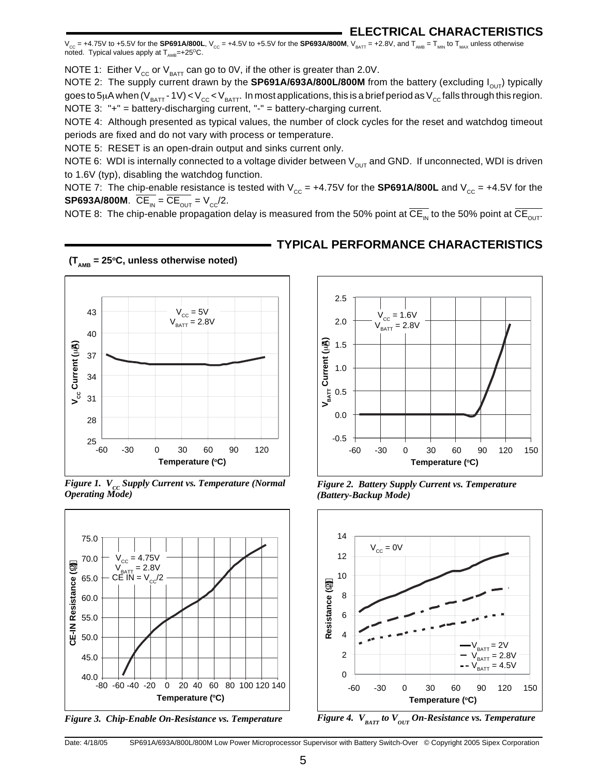$V_{CG}$  = +4.75V to +5.5V for the **SP691A/800L**,  $V_{CG}$  = +4.5V to +5.5V for the **SP693A/800M**,  $V_{BAT}$  = +2.8V, and  $T_{AMB}$  =  $T_{MIN}$  to  $T_{MAX}$  unless otherwise noted. Typical values apply at  $T_{\text{max}}$ =+25<sup>o</sup>C.

NOTE 1: Either  $V_{\text{CC}}$  or  $V_{\text{BATT}}$  can go to 0V, if the other is greater than 2.0V.

NOTE 2: The supply current drawn by the **SP691A/693A/800L/800M** from the battery (excluding I<sub>OUT</sub>) typically goes to 5µA when (V<sub>BATT</sub> - 1V) < V<sub>CC</sub> < V<sub>BATT</sub>. In most applications, this is a brief period as V<sub>CC</sub> falls through this region. NOTE 3: "+" = battery-discharging current, "-" = battery-charging current.

NOTE 4: Although presented as typical values, the number of clock cycles for the reset and watchdog timeout periods are fixed and do not vary with process or temperature.

NOTE 5: RESET is an open-drain output and sinks current only.

NOTE 6: WDI is internally connected to a voltage divider between  $V_{\text{OUT}}$  and GND. If unconnected, WDI is driven to 1.6V (typ), disabling the watchdog function.

NOTE 7: The chip-enable resistance is tested with  $V_{cc} = +4.75V$  for the **SP691A/800L** and  $V_{cc} = +4.5V$  for the **SP693A/800M.**  $\overline{CE}_{IN} = \overline{CE}_{OUT} = V_{CC}/2$ .

NOTE 8: The chip-enable propagation delay is measured from the 50% point at  $\overline{CE_{1M}}$  to the 50% point at  $\overline{CE_{1M}}$ .



*Figure 1.*  $V_{cc}$  *Supply Current vs. Temperature (Normal Operating Mode)*



*Figure 3. Chip-Enable On-Resistance vs. Temperature*



*Figure 2. Battery Supply Current vs. Temperature (Battery-Backup Mode)*



*Figure 4.*  $V_{BATT}$  to  $V_{OUT}$  On-Resistance vs. Temperature

#### **TYPICAL PERFORMANCE CHARACTERISTICS**

Date: 4/18/05 SP691A/693A/800L/800M Low Power Microprocessor Supervisor with Battery Switch-Over © Copyright 2005 Sipex Corporation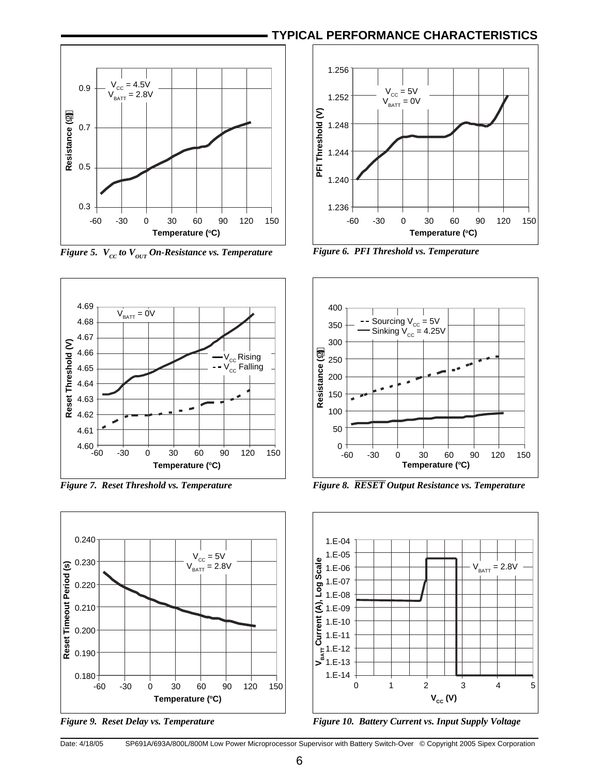

*Figure 5.*  $V_{cc}$  to  $V_{OUT}$  On-Resistance vs. Temperature Figure 6. PFI Threshold vs. Temperature



*Figure 7. Reset Threshold vs. Temperature*



*Figure 9. Reset Delay vs. Temperature*





*Figure 8. RESET Output Resistance vs. Temperature*



*Figure 10. Battery Current vs. Input Supply Voltage*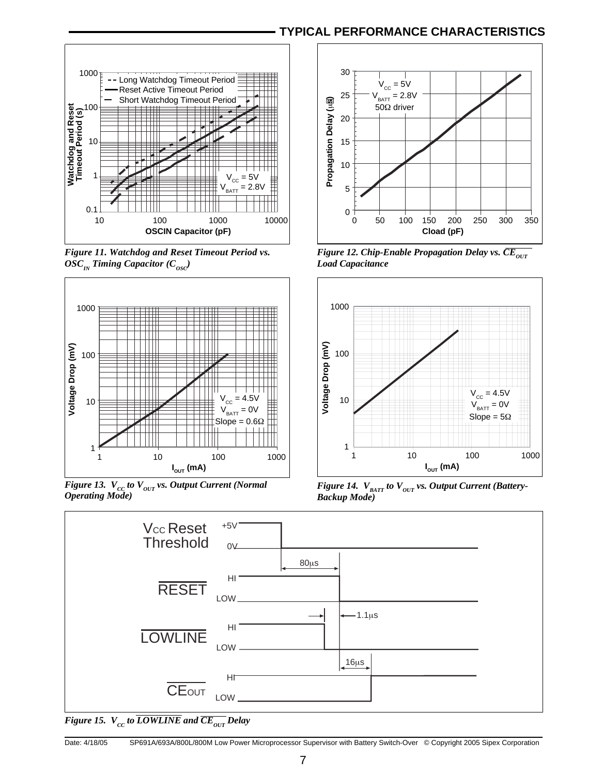#### **TYPICAL PERFORMANCE CHARACTERISTICS**



*Figure 11. Watchdog and Reset Timeout Period vs.*   $OSC_{IN}$  Timing Capacitor ( $C_{osc}$ )



*Figure 13.*  $V_{CC}$  to  $V_{OUT}$  vs. Output Current (Normal *Operating Mode)*



*Figure 12. Chip-Enable Propagation Delay vs.*  $\overline{CE}_{OUT}$ *Load Capacitance*



*Figure 14.*  $V_{BATT}$  to  $V_{OUT}$  vs. Output Current (Battery-*Backup Mode)*



*Figure 15.*  $V_{cc}$  to  $\overline{LOWLINE}$  and  $\overline{CE_{OUT}}$  Delay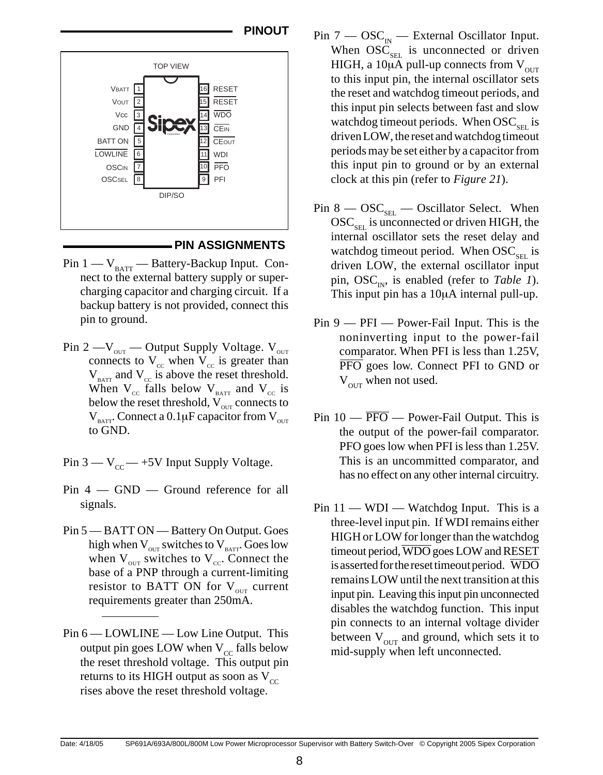

#### **PIN ASSIGNMENTS**

- Pin  $1 V_{\text{BATT}}$  Battery-Backup Input. Connect to the external battery supply or supercharging capacitor and charging circuit. If a backup battery is not provided, connect this pin to ground.
- Pin 2 — $V_{\text{out}}$  Output Supply Voltage.  $V_{\text{out}}$ connects to  $V_{cc}$  when  $V_{cc}$  is greater than  $V_{\text{BAT}}$  and  $V_{\text{cc}}$  is above the reset threshold. When  $V_{cc}$  falls below  $V_{BATT}$  and  $V_{cc}$  is below the reset threshold,  $V_{\text{out}}$  connects to  $V_{\text{BAT}}$ . Connect a 0.1µF capacitor from  $V_{\text{out}}$ to GND.
- Pin  $3 V_{cc}$  +5V Input Supply Voltage.
- Pin 4 GND Ground reference for all signals.
- Pin 5 BATT ON Battery On Output. Goes high when  $V_{\text{out}}$  switches to  $V_{\text{BATT}}$ . Goes low when  $V_{\text{out}}$  switches to  $V_{\text{cc}}$ . Connect the base of a PNP through a current-limiting resistor to BATT ON for  $V_{\text{out}}$  current requirements greater than 250mA.
- Pin  $6 -$  LOWLINE Low Line Output. This output pin goes LOW when  $V_{cc}$  falls below the reset threshold voltage. This output pin returns to its HIGH output as soon as  $V_{cc}$ rises above the reset threshold voltage.
- **PINOUT** Pin  $7 \text{OSC}_{1N} \text{External Oscillator Input.}$ When  $\mathrm{OSC}_{\mathrm{SEL}}$  is unconnected or driven HIGH, a 10 $\mu$ A pull-up connects from  $V_{\text{out}}$ to this input pin, the internal oscillator sets the reset and watchdog timeout periods, and this input pin selects between fast and slow watchdog timeout periods. When  $\mathrm{OSC}_{\text{SET}}$  is driven LOW, the reset and watchdog timeout periods may be set either by a capacitor from this input pin to ground or by an external clock at this pin (refer to *Figure 21*).
	- Pin  $8 \text{OSC}_{\text{SEL}} \text{Oscillator Select.}$  When  $\mathrm{OSC}_{\mathrm{SET}}$  is unconnected or driven HIGH, the internal oscillator sets the reset delay and watchdog timeout period. When  $OSC_{\text{SEL}}$  is driven LOW, the external oscillator input pin,  $\mathrm{OSC}_{\text{IN}}$ , is enabled (refer to *Table 1*). This input pin has a 10µA internal pull-up.
	- Pin 9 PFI Power-Fail Input. This is the noninverting input to the power-fail comparator. When PFI is less than 1.25V, PFO goes low. Connect PFI to GND or  $V_{\text{out}}$  when not used.
	- Pin  $10 \overline{PFO}$  Power-Fail Output. This is the output of the power-fail comparator. PFO goes low when PFI is less than 1.25V. This is an uncommitted comparator, and has no effect on any other internal circuitry.
	- Pin  $11 \text{WDI} \text{Watchdog Input}$ . This is a three-level input pin. If WDI remains either HIGH or LOW for longer than the watchdog timeout period, WDO goes LOW and RESET is asserted for the reset timeout period. WDO remains LOW until the next transition at this input pin. Leaving this input pin unconnected disables the watchdog function. This input pin connects to an internal voltage divider between  $V_{\text{OUT}}$  and ground, which sets it to mid-supply when left unconnected.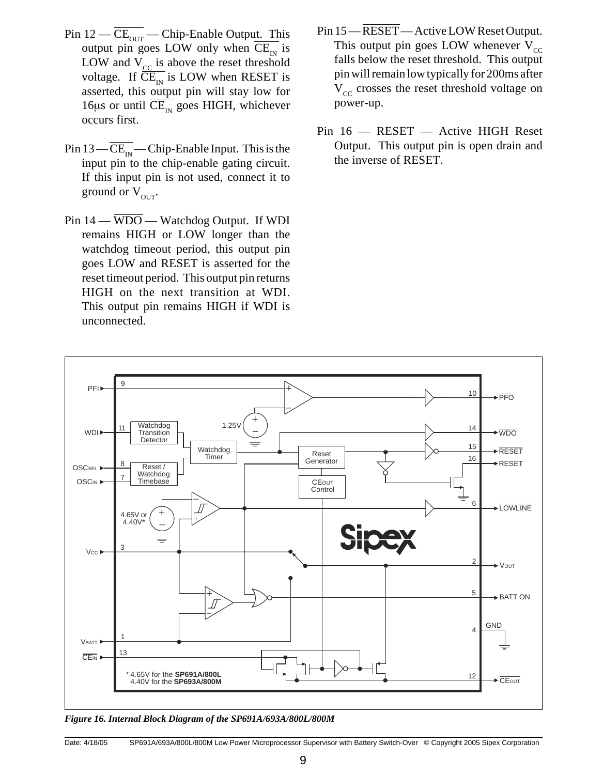- Pin  $12 \overline{\text{CE}_{\text{OUT}}}$  Chip-Enable Output. This output pin goes LOW only when  $\overline{\text{CE}_{1N}}$  is LOW and  $V_{cc}$  is above the reset threshold voltage. If  $\overline{\overline{CE}_{1N}}$  is LOW when RESET is asserted, this output pin will stay low for 16 $\mu$ s or until  $\overline{\text{CE}_{\text{IN}}}$  goes HIGH, whichever occurs first.
- Pin  $13 \overline{\text{CE}_{\text{IN}}}$  Chip-Enable Input. This is the input pin to the chip-enable gating circuit. If this input pin is not used, connect it to ground or  $V_{\text{out}}$ .
- Pin  $14 \overline{WDO} W$ atchdog Output. If WDI remains HIGH or LOW longer than the watchdog timeout period, this output pin goes LOW and RESET is asserted for the reset timeout period. This output pin returns HIGH on the next transition at WDI. This output pin remains HIGH if WDI is unconnected.
- Pin 15 RESET Active LOW Reset Output. This output pin goes LOW whenever  $V_{cc}$ falls below the reset threshold. This output pin will remain low typically for 200ms after  $V_{cc}$  crosses the reset threshold voltage on power-up.
- Pin 16 RESET Active HIGH Reset Output. This output pin is open drain and the inverse of RESET.



*Figure 16. Internal Block Diagram of the SP691A/693A/800L/800M*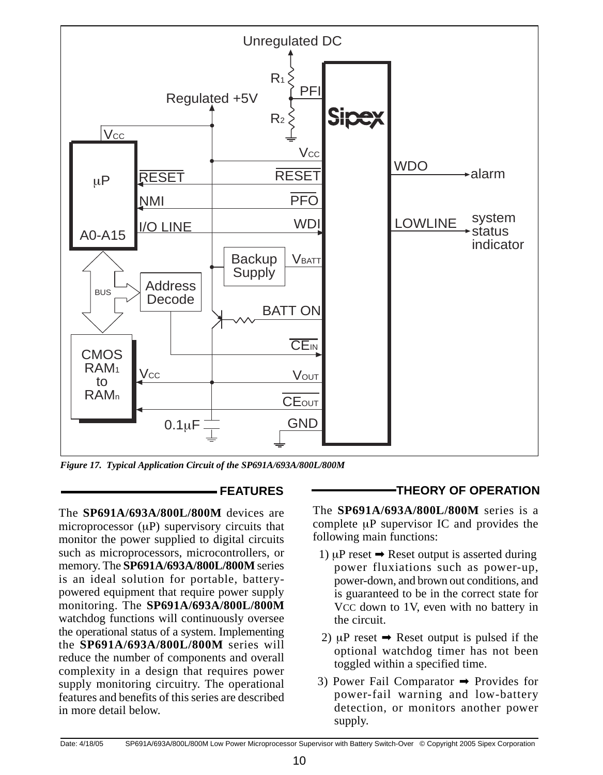

*Figure 17. Typical Application Circuit of the SP691A/693A/800L/800M*

The **SP691A/693A/800L/800M** devices are microprocessor ( $\mu$ P) supervisory circuits that monitor the power supplied to digital circuits such as microprocessors, microcontrollers, or memory. The **SP691A/693A/800L/800M** series is an ideal solution for portable, batterypowered equipment that require power supply monitoring. The **SP691A/693A/800L/800M**  watchdog functions will continuously oversee the operational status of a system. Implementing the **SP691A/693A/800L/800M** series will reduce the number of components and overall complexity in a design that requires power supply monitoring circuitry. The operational features and benefits of this series are described in more detail below.

#### **FEATURES THEORY OF OPERATION**

The **SP691A/693A/800L/800M** series is a complete µP supervisor IC and provides the following main functions:

- 1)  $\mu$ P reset  $\rightarrow$  Reset output is asserted during power fluxiations such as power-up, power-down, and brown out conditions, and is guaranteed to be in the correct state for VCC down to 1V, even with no battery in the circuit.
- 2)  $\mu$ P reset  $\rightarrow$  Reset output is pulsed if the optional watchdog timer has not been toggled within a specified time.
- 3) Power Fail Comparator ➡ Provides for power-fail warning and low-battery detection, or monitors another power supply.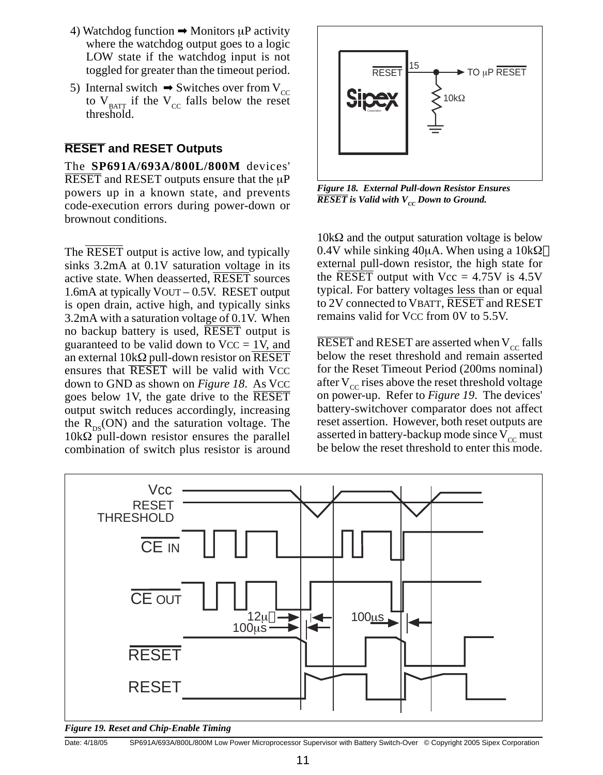- 4) Watchdog function  $\rightarrow$  Monitors  $\mu$ P activity where the watchdog output goes to a logic LOW state if the watchdog input is not toggled for greater than the timeout period.
- 5) Internal switch  $\Rightarrow$  Switches over from V<sub>CC</sub> to  $V_{\text{BATT}}$  if the  $V_{\text{CC}}$  falls below the reset threshold.

#### **RESET and RESET Outputs**

The **SP691A/693A/800L/800M** devices' RESET and RESET outputs ensure that the  $\mu$ P powers up in a known state, and prevents code-execution errors during power-down or brownout conditions.

The **RESET** output is active low, and typically sinks 3.2mA at 0.1V saturation voltage in its active state. When deasserted, RESET sources 1.6mA at typically VOUT – 0.5V. RESET output is open drain, active high, and typically sinks 3.2mA with a saturation voltage of 0.1V. When no backup battery is used, **RESET** output is guaranteed to be valid down to  $VCC = 1V$ , and an external  $10k\Omega$  pull-down resistor on RESET ensures that **RESET** will be valid with VCC down to GND as shown on *Figure 18*. As VCC goes below 1V, the gate drive to the RESET output switch reduces accordingly, increasing the  $R_{\text{p},s}$ (ON) and the saturation voltage. The  $10k\Omega$  pull-down resistor ensures the parallel combination of switch plus resistor is around



*Figure 18. External Pull-down Resistor Ensures*   $\overline{RESET}$  is Valid with  $V_{cc}$  Down to Ground.

10kΩ and the output saturation voltage is below 0.4V while sinking 40 $\mu$ A. When using a 10k $\Omega$ external pull-down resistor, the high state for the RESET output with  $Vec = 4.75V$  is 4.5V typical. For battery voltages less than or equal to 2V connected to VBATT, RESET and RESET remains valid for VCC from 0V to 5.5V.

RESET and RESET are asserted when  $V_{cc}$  falls below the reset threshold and remain asserted for the Reset Timeout Period (200ms nominal) after  $V_{cc}$  rises above the reset threshold voltage on power-up. Refer to *Figure 19*. The devices' battery-switchover comparator does not affect reset assertion. However, both reset outputs are asserted in battery-backup mode since  $V_{cc}$  must be below the reset threshold to enter this mode.



*Figure 19. Reset and Chip-Enable Timing*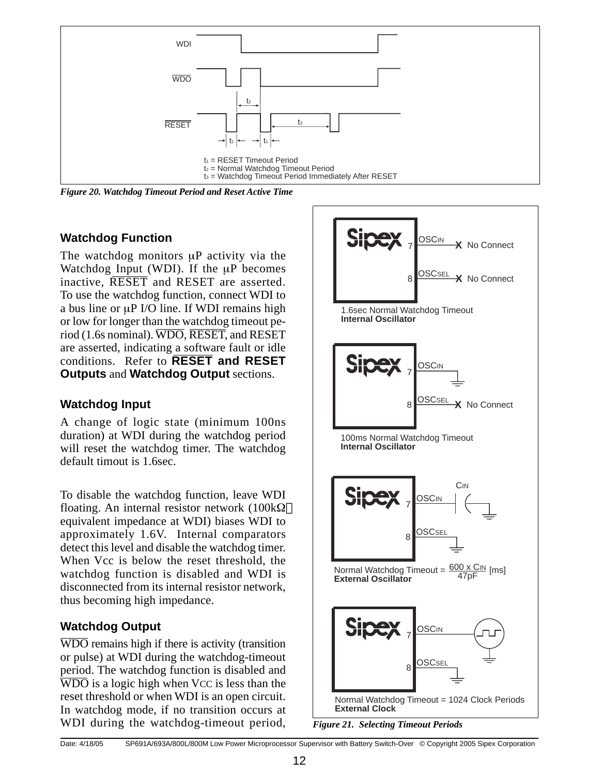

*Figure 20. Watchdog Timeout Period and Reset Active Time*

#### **Watchdog Function**

The watchdog monitors uP activity via the Watchdog Input (WDI). If the  $\mu$ P becomes inactive, RESET and RESET are asserted. To use the watchdog function, connect WDI to a bus line or  $\mu$ P I/O line. If WDI remains high or low for longer than the watchdog timeout period (1.6s nominal). WDO, RESET, and RESET are asserted, indicating a software fault or idle conditions. Refer to **RESET and RESET Outputs** and **Watchdog Output** sections.

#### **Watchdog Input**

A change of logic state (minimum 100ns duration) at WDI during the watchdog period will reset the watchdog timer. The watchdog default timout is 1.6sec.

To disable the watchdog function, leave WDI floating. An internal resistor network ( $100k\Omega$ equivalent impedance at WDI) biases WDI to approximately 1.6V. Internal comparators detect this level and disable the watchdog timer. When Vcc is below the reset threshold, the watchdog function is disabled and WDI is disconnected from its internal resistor network, thus becoming high impedance.

## **Watchdog Output**

WDO remains high if there is activity (transition or pulse) at WDI during the watchdog-timeout period. The watchdog function is disabled and  $\overline{WDO}$  is a logic high when VCC is less than the reset threshold or when WDI is an open circuit. In watchdog mode, if no transition occurs at WDI during the watchdog-timeout period,

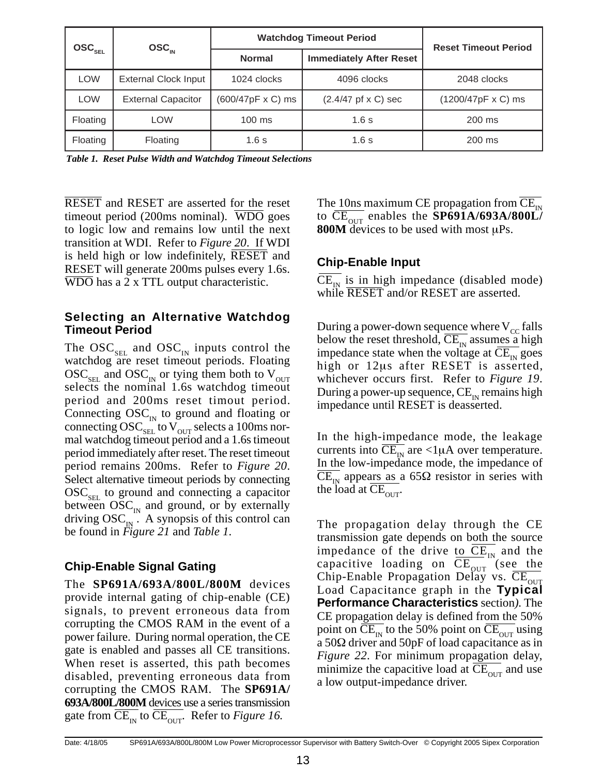| $\text{osc}_{\text{sel}}$ | $\bf{OSC}_{\mu}$            | <b>Watchdog Timeout Period</b> | <b>Reset Timeout Period</b>        |                           |  |
|---------------------------|-----------------------------|--------------------------------|------------------------------------|---------------------------|--|
|                           |                             | <b>Normal</b>                  | <b>Immediately After Reset</b>     |                           |  |
| <b>LOW</b>                | <b>External Clock Input</b> | 1024 clocks                    | 4096 clocks                        | 2048 clocks               |  |
| LOW                       | <b>External Capacitor</b>   | $(600/47pF \times C)$ ms       | $(2.4/47 \text{ p}f \times C)$ sec | $(1200/47pF \times C)$ ms |  |
| Floating                  | <b>LOW</b>                  | $100 \text{ ms}$               | 1.6s                               | $200$ ms                  |  |
| Floating                  | Floating                    | 1.6s                           | 1.6s                               | $200$ ms                  |  |

*Table 1. Reset Pulse Width and Watchdog Timeout Selections*

RESET and RESET are asserted for the reset timeout period (200ms nominal). WDO goes to logic low and remains low until the next transition at WDI. Refer to *Figure 20*. If WDI is held high or low indefinitely, RESET and RESET will generate 200ms pulses every 1.6s. WDO has a 2 x TTL output characteristic.

#### **Selecting an Alternative Watchdog Timeout Period**

The  $OSC_{SEL}$  and  $OSC_{IN}$  inputs control the watchdog are reset timeout periods. Floating  $\mathrm{OSC}_{\mathrm{SEL}}$  and  $\mathrm{OSC}_{\mathrm{IN}}$  or tying them both to  $\mathrm{V}_{\mathrm{OUT}}$ selects the nominal 1.6s watchdog timeout period and 200ms reset timout period. Connecting  $OSC_{N}$  to ground and floating or connecting  $\mathrm{OSC}_{\mathrm{SEL}}$  to V<sub>OUT</sub> selects a 100ms normal watchdog timeout period and a 1.6s timeout period immediately after reset. The reset timeout period remains 200ms. Refer to *Figure 20*. Select alternative timeout periods by connecting  $\mathrm{OSC}_{\mathrm{ger}}$  to ground and connecting a capacitor between  $\mathrm{OSC}_{N}$  and ground, or by externally driving  $OSC_{N}$ . A synopsis of this control can be found in *Figure 21* and *Table 1*.

#### **Chip-Enable Signal Gating**

The **SP691A/693A/800L/800M** devices provide internal gating of chip-enable (CE) signals, to prevent erroneous data from corrupting the CMOS RAM in the event of a power failure. During normal operation, the CE gate is enabled and passes all CE transitions. When reset is asserted, this path becomes disabled, preventing erroneous data from corrupting the CMOS RAM. The **SP691A/ 693A/800L/800M** devices use a series transmission gate from  $\overline{\text{CE}_{\text{in}}}$  to  $\overline{\text{CE}_{\text{out}}}$ . Refer to *Figure 16*.

The 10ns maximum CE propagation from  $CE_{\text{in}}$ to  $\overline{\text{CE}_{\text{OUT}}}$  enables the **SP691A/693A/800L 800M** devices to be used with most µPs.

#### **Chip-Enable Input**

 $CE_{\text{N}}$  is in high impedance (disabled mode) while RESET and/or RESET are asserted.

During a power-down sequence where  $V_{cc}$  falls below the reset threshold,  $\overline{\text{CE}_{1N}}$  assumes a high impedance state when the voltage at  $CE_{\text{IN}}$  goes high or 12µs after RESET is asserted, whichever occurs first. Refer to *Figure 19*. During a power-up sequence,  $CE_{N}$  remains high impedance until RESET is deasserted.

In the high-impedance mode, the leakage currents into  $\overline{\text{CE}_{\text{N}}}$  are <1 $\mu$ A over temperature. In the low-impedance mode, the impedance of  $\overline{\text{CE}_{\text{IN}}}$  appears as a 65 $\Omega$  resistor in series with the load at  $\overline{\text{CE}_{\text{OUT}}}$ .

The propagation delay through the CE transmission gate depends on both the source impedance of the drive to  $\overline{\text{CE}_{1N}}$  and the capacitive loading on  $\overline{\text{CE}_{\text{OUT}}}$  (see the Chip-Enable Propagation Delay vs.  $\overline{\text{CE}_{\text{out}}}$ Load Capacitance graph in the **Typical Performance Characteristics** section*).* The CE propagation delay is defined from the 50% point on  $\overline{\text{CE}_{1N}}$  to the 50% point on  $\overline{\text{CE}_{1N}}$  using a 50 $\Omega$  driver and 50pF of load capacitance as in *Figure 22*. For minimum propagation delay, minimize the capacitive load at  $CE<sub>OUT</sub>$  and use a low output-impedance driver.

Date: 4/18/05 SP691A/693A/800L/800M Low Power Microprocessor Supervisor with Battery Switch-Over © Copyright 2005 Sipex Corporation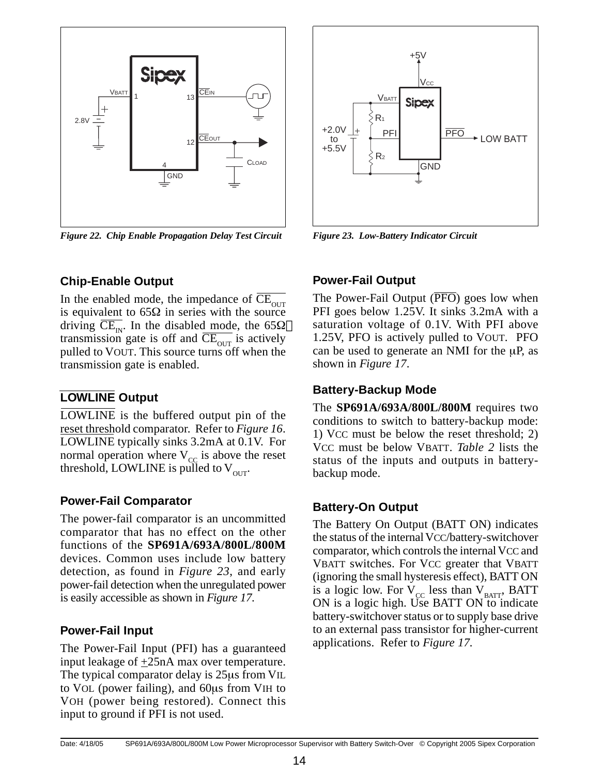

*Figure 22. Chip Enable Propagation Delay Test Circuit Figure 23. Low-Battery Indicator Circuit*

# +5V  $V_{\rm CC}$ VBATT **Sipex** R1  $+2.0V$   $+$   $\overline{P}$   $\overline{P}$   $\overline{P}$   $\overline{P}$   $\overline{P}$   $\overline{P}$   $\overline{P}$   $\overline{P}$   $\overline{P}$   $\overline{P}$   $\overline{P}$   $\overline{P}$   $\overline{P}$   $\overline{P}$   $\overline{P}$   $\overline{P}$   $\overline{P}$   $\overline{P}$   $\overline{P}$   $\overline{P}$   $\overline{P}$   $\overline{P}$   $\overline{P}$   $\$  $\overline{PFO}$   $\rightarrow$  LOW BATT +5.5V  $R<sub>2</sub>$ **GND**

#### **Chip-Enable Output**

In the enabled mode, the impedance of  $\overline{\text{CE}_{\text{out}}}$ is equivalent to  $65\Omega$  in series with the source driving  $\overline{\text{CE}_{1N}}$ . In the disabled mode, the 65 $\Omega$ transmission gate is off and  $CE_{\text{OUT}}$  is actively pulled to VOUT. This source turns off when the transmission gate is enabled.

## **LOWLINE Output**

LOWLINE is the buffered output pin of the reset threshold comparator. Refer to *Figure 16*. LOWLINE typically sinks 3.2mA at 0.1V. For normal operation where  $V_{cc}$  is above the reset threshold, LOWLINE is pulled to  $V_{\text{out}}$ .

#### **Power-Fail Comparator**

The power-fail comparator is an uncommitted comparator that has no effect on the other functions of the **SP691A/693A/800L/800M**  devices. Common uses include low battery detection, as found in *Figure 23*, and early power-fail detection when the unregulated power is easily accessible as shown in *Figure 17*.

#### **Power-Fail Input**

The Power-Fail Input (PFI) has a guaranteed input leakage of  $+25nA$  max over temperature. The typical comparator delay is 25µs from VIL to VOL (power failing), and 60µs from VIH to VOH (power being restored). Connect this input to ground if PFI is not used.

#### **Power-Fail Output**

The Power-Fail Output  $(\overline{PFO})$  goes low when PFI goes below 1.25V. It sinks 3.2mA with a saturation voltage of 0.1V. With PFI above 1.25V, PFO is actively pulled to VOUT. PFO can be used to generate an NMI for the  $\mu$ P, as shown in *Figure 17*.

#### **Battery-Backup Mode**

The **SP691A/693A/800L/800M** requires two conditions to switch to battery-backup mode: 1) VCC must be below the reset threshold; 2) VCC must be below VBATT. *Table 2* lists the status of the inputs and outputs in batterybackup mode.

## **Battery-On Output**

The Battery On Output (BATT ON) indicates the status of the internal VCC/battery-switchover comparator, which controls the internal VCC and VBATT switches. For VCC greater that VBATT (ignoring the small hysteresis effect), BATT ON is a logic low. For  $V_{\text{cc}}$  less than  $V_{\text{BATT}}$ , BATT ON is a logic high. Use BATT ON to indicate battery-switchover status or to supply base drive to an external pass transistor for higher-current applications. Refer to *Figure 17.*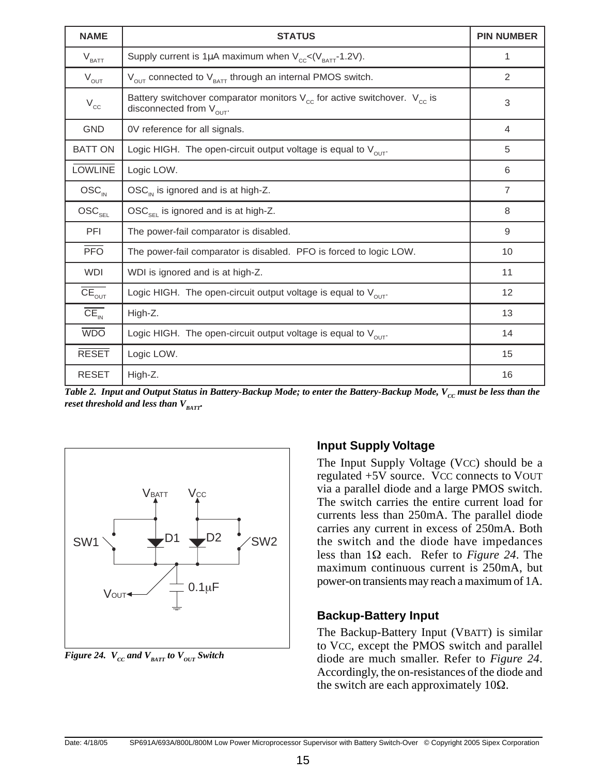| <b>NAME</b>                   | <b>STATUS</b>                                                                                                              | <b>PIN NUMBER</b> |
|-------------------------------|----------------------------------------------------------------------------------------------------------------------------|-------------------|
| $\rm V_{BAT}$                 | Supply current is 1µA maximum when $V_{\rm cc} < (V_{\rm BATT}$ -1.2V).                                                    | 1                 |
| $V_{OUT}$                     | $V_{\text{out}}$ connected to $V_{\text{BATT}}$ through an internal PMOS switch.                                           | 2                 |
| $V_{cc}$                      | Battery switchover comparator monitors $V_{cc}$ for active switchover. $V_{cc}$ is<br>disconnected from V <sub>OUT</sub> . | 3                 |
| <b>GND</b>                    | OV reference for all signals.                                                                                              | $\overline{4}$    |
| <b>BATT ON</b>                | Logic HIGH. The open-circuit output voltage is equal to $V_{\text{out}}$ .                                                 | 5                 |
| <b>LOWLINE</b>                | Logic LOW.                                                                                                                 | 6                 |
| $\text{OSC}_{IN}$             | $\text{OSC}_{\text{IN}}$ is ignored and is at high-Z.                                                                      | $\overline{7}$    |
| $\mathsf{OSC}_{\mathsf{SEL}}$ | $OSC_{\text{SE}}$ is ignored and is at high-Z.                                                                             | 8                 |
| PFI                           | The power-fail comparator is disabled.                                                                                     | 9                 |
| <b>PFO</b>                    | The power-fail comparator is disabled. PFO is forced to logic LOW.                                                         | 10                |
| <b>WDI</b>                    | WDI is ignored and is at high-Z.                                                                                           | 11                |
| $CE_{OUT}$                    | Logic HIGH. The open-circuit output voltage is equal to $V_{\text{out}}$ .                                                 | 12                |
| $CE_{N}$                      | High-Z.                                                                                                                    | 13                |
| <b>WDO</b>                    | Logic HIGH. The open-circuit output voltage is equal to $V_{\text{out}}$ .                                                 | 14                |
| <b>RESET</b>                  | Logic LOW.                                                                                                                 | 15                |
| <b>RESET</b>                  | High-Z.                                                                                                                    | 16                |

*Table 2. Input and Output Status in Battery-Backup Mode; to enter the Battery-Backup Mode, V<sub>cc</sub> must be less than the reset threshold and less than*  $V_{\text{part}}$ .



*Figure 24.*  $V_{cc}$  and  $V_{BAT}$  to  $V_{OUT}$  Switch

#### **Input Supply Voltage**

The Input Supply Voltage (VCC) should be a regulated +5V source. VCC connects to VOUT via a parallel diode and a large PMOS switch. The switch carries the entire current load for currents less than 250mA. The parallel diode carries any current in excess of 250mA. Both the switch and the diode have impedances less than 1Ω each. Refer to *Figure 24*. The maximum continuous current is 250mA, but power-on transients may reach a maximum of 1A.

#### **Backup-Battery Input**

The Backup-Battery Input (VBATT) is similar to VCC, except the PMOS switch and parallel diode are much smaller. Refer to *Figure 24*. Accordingly, the on-resistances of the diode and the switch are each approximately  $10\Omega$ .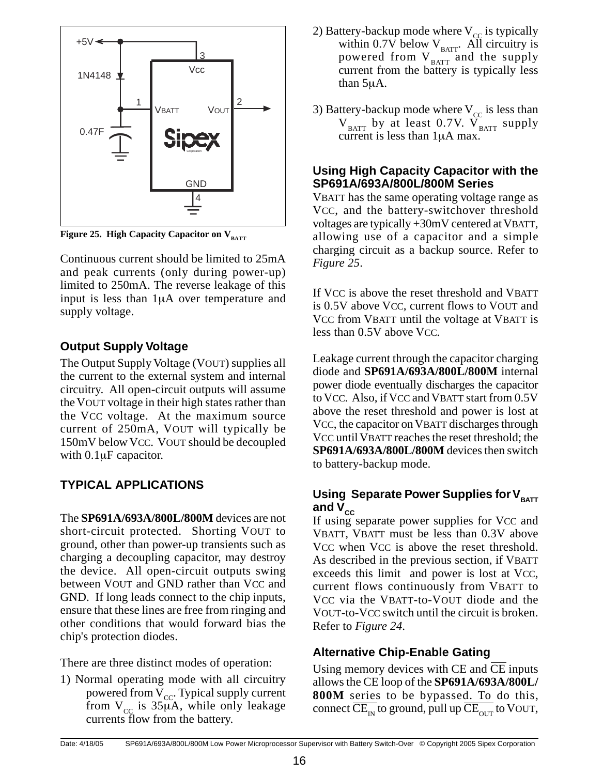

Figure 25. High Capacity Capacitor on V<sub>BATT</sub>

Continuous current should be limited to 25mA and peak currents (only during power-up) limited to 250mA. The reverse leakage of this input is less than 1µA over temperature and supply voltage.

## **Output Supply Voltage**

The Output Supply Voltage (VOUT) supplies all the current to the external system and internal circuitry. All open-circuit outputs will assume the VOUT voltage in their high states rather than the VCC voltage. At the maximum source current of 250mA, VOUT will typically be 150mV below VCC. VOUT should be decoupled with 0.1µF capacitor.

# **TYPICAL APPLICATIONS**

The **SP691A/693A/800L/800M** devices are not short-circuit protected. Shorting VOUT to ground, other than power-up transients such as charging a decoupling capacitor, may destroy the device. All open-circuit outputs swing between VOUT and GND rather than VCC and GND. If long leads connect to the chip inputs, ensure that these lines are free from ringing and other conditions that would forward bias the chip's protection diodes.

There are three distinct modes of operation:

1) Normal operating mode with all circuitry powered from  $V_{cc}$ . Typical supply current from  $V_{cc}$  is 35µA, while only leakage currents flow from the battery.

- 2) Battery-backup mode where  $V_{cc}$  is typically within 0.7V below  $V_{\text{BATT}}$ . All circuitry is powered from  $V<sub>BATT</sub>$  and the supply current from the battery is typically less than 5µA.
- 3) Battery-backup mode where  $V_{cc}$  is less than  $V_{\text{BAT}}$  by at least 0.7V.  $V_{\text{BAT}}$  supply current is less than 1µA max.

#### **Using High Capacity Capacitor with the SP691A/693A/800L/800M Series**

VBATT has the same operating voltage range as VCC, and the battery-switchover threshold voltages are typically +30mV centered at VBATT, allowing use of a capacitor and a simple charging circuit as a backup source. Refer to *Figure 25*.

If VCC is above the reset threshold and VBATT is 0.5V above VCC, current flows to VOUT and VCC from VBATT until the voltage at VBATT is less than 0.5V above VCC.

Leakage current through the capacitor charging diode and **SP691A/693A/800L/800M** internal power diode eventually discharges the capacitor to VCC. Also, if VCC and VBATT start from 0.5V above the reset threshold and power is lost at VCC, the capacitor on VBATT discharges through VCC until VBATT reaches the reset threshold; the **SP691A/693A/800L/800M** devices then switch to battery-backup mode.

#### **Using Separate Power Supplies for VBATT** and  $V_{cc}$

If using separate power supplies for VCC and VBATT, VBATT must be less than 0.3V above VCC when VCC is above the reset threshold. As described in the previous section, if VBATT exceeds this limit and power is lost at VCC, current flows continuously from VBATT to VCC via the VBATT-to-VOUT diode and the VOUT-to-VCC switch until the circuit is broken. Refer to *Figure 24*.

## **Alternative Chip-Enable Gating**

Using memory devices with CE and CE inputs allows the CE loop of the **SP691A/693A/800L/ 800M** series to be bypassed. To do this, connect  $\overline{\text{CE}_{1N}}$  to ground, pull up  $\overline{\text{CE}_{1N}}$  to VOUT,

Date: 4/18/05 SP691A/693A/800L/800M Low Power Microprocessor Supervisor with Battery Switch-Over © Copyright 2005 Sipex Corporation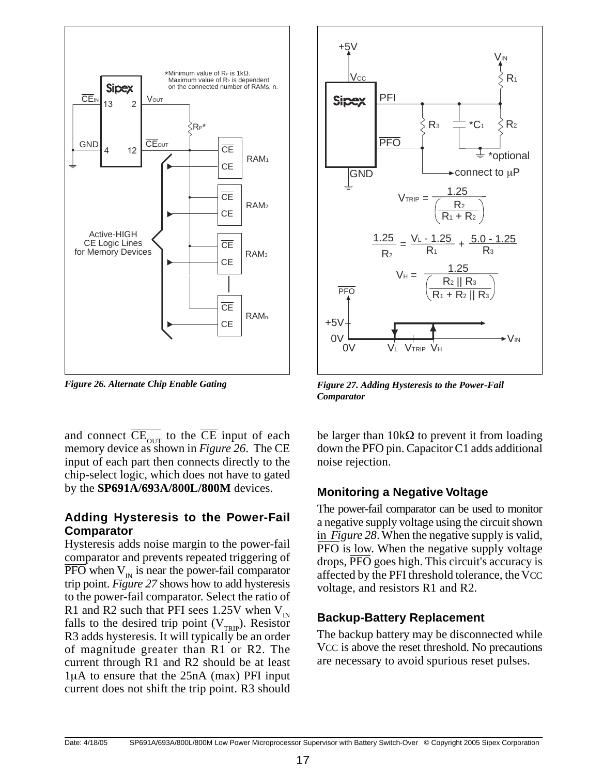

*Figure 26. Alternate Chip Enable Gating*

and connect  $\overline{\text{CE}_{\text{OUT}}}$  to the  $\overline{\text{CE}}$  input of each memory device as shown in *Figure 26*. The CE input of each part then connects directly to the chip-select logic, which does not have to gated by the **SP691A/693A/800L/800M** devices.

#### **Adding Hysteresis to the Power-Fail Comparator**

Hysteresis adds noise margin to the power-fail comparator and prevents repeated triggering of  $\overline{PFO}$  when  $V_{\text{in}}$  is near the power-fail comparator trip point. *Figure 27* shows how to add hysteresis to the power-fail comparator. Select the ratio of R1 and R2 such that PFI sees 1.25V when  $V_{IN}$ falls to the desired trip point  $(V_{TRP})$ . Resistor R3 adds hysteresis. It will typically be an order of magnitude greater than R1 or R2. The current through R1 and R2 should be at least 1µA to ensure that the 25nA (max) PFI input current does not shift the trip point. R3 should



*Figure 27. Adding Hysteresis to the Power-Fail Comparator*

be larger than  $10k\Omega$  to prevent it from loading down the  $\overline{PFO}$  pin. Capacitor C1 adds additional noise rejection.

#### **Monitoring a Negative Voltage**

The power-fail comparator can be used to monitor a negative supply voltage using the circuit shown in *Figure 28*. When the negative supply is valid, PFO is low. When the negative supply voltage drops,  $\overline{PFO}$  goes high. This circuit's accuracy is affected by the PFI threshold tolerance, the VCC voltage, and resistors R1 and R2.

## **Backup-Battery Replacement**

The backup battery may be disconnected while VCC is above the reset threshold. No precautions are necessary to avoid spurious reset pulses.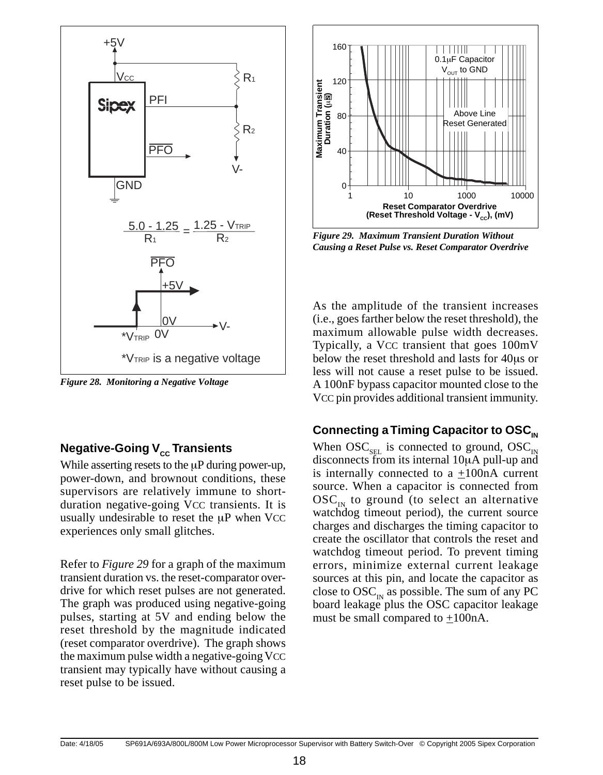

*Figure 28. Monitoring a Negative Voltage*

## **Negative-Going V<sub>cc</sub> Transients**

While asserting resets to the  $\mu$ P during power-up, power-down, and brownout conditions, these supervisors are relatively immune to shortduration negative-going VCC transients. It is usually undesirable to reset the  $\mu$ P when VCC experiences only small glitches.

Refer to *Figure 29* for a graph of the maximum transient duration vs. the reset-comparator overdrive for which reset pulses are not generated. The graph was produced using negative-going pulses, starting at 5V and ending below the reset threshold by the magnitude indicated (reset comparator overdrive). The graph shows the maximum pulse width a negative-going VCC transient may typically have without causing a reset pulse to be issued.



*Figure 29. Maximum Transient Duration Without Causing a Reset Pulse vs. Reset Comparator Overdrive*

As the amplitude of the transient increases (i.e., goes farther below the reset threshold), the maximum allowable pulse width decreases. Typically, a VCC transient that goes 100mV below the reset threshold and lasts for 40µs or less will not cause a reset pulse to be issued. A 100nF bypass capacitor mounted close to the VCC pin provides additional transient immunity.

#### **Connecting a Timing Capacitor to OSC<sub>IN</sub>**

When  $OSC_{SEL}$  is connected to ground,  $OSC_{IN}$ disconnects from its internal 10µA pull-up and is internally connected to a  $\pm 100$ nA current source. When a capacitor is connected from  $\mathrm{OSC}_{\text{IN}}$  to ground (to select an alternative watchdog timeout period), the current source charges and discharges the timing capacitor to create the oscillator that controls the reset and watchdog timeout period. To prevent timing errors, minimize external current leakage sources at this pin, and locate the capacitor as close to  $\mathrm{OSC}_{\text{in}}$  as possible. The sum of any PC board leakage plus the OSC capacitor leakage must be small compared to +100nA.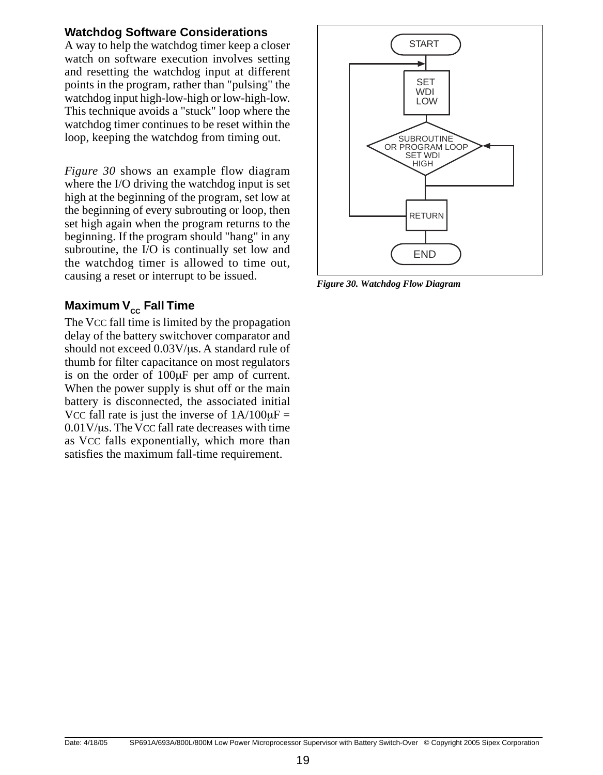#### **Watchdog Software Considerations**

A way to help the watchdog timer keep a closer watch on software execution involves setting and resetting the watchdog input at different points in the program, rather than "pulsing" the watchdog input high-low-high or low-high-low. This technique avoids a "stuck" loop where the watchdog timer continues to be reset within the loop, keeping the watchdog from timing out.

*Figure 30* shows an example flow diagram where the I/O driving the watchdog input is set high at the beginning of the program, set low at the beginning of every subrouting or loop, then set high again when the program returns to the beginning. If the program should "hang" in any subroutine, the I/O is continually set low and the watchdog timer is allowed to time out, causing a reset or interrupt to be issued.

#### **Maximum V<sub>cc</sub> Fall Time**

The VCC fall time is limited by the propagation delay of the battery switchover comparator and should not exceed  $0.03V/\mu s$ . A standard rule of thumb for filter capacitance on most regulators is on the order of 100µF per amp of current. When the power supply is shut off or the main battery is disconnected, the associated initial VCC fall rate is just the inverse of  $1A/100\mu F =$ 0.01V/µs. The VCC fall rate decreases with time as VCC falls exponentially, which more than satisfies the maximum fall-time requirement.



*Figure 30. Watchdog Flow Diagram*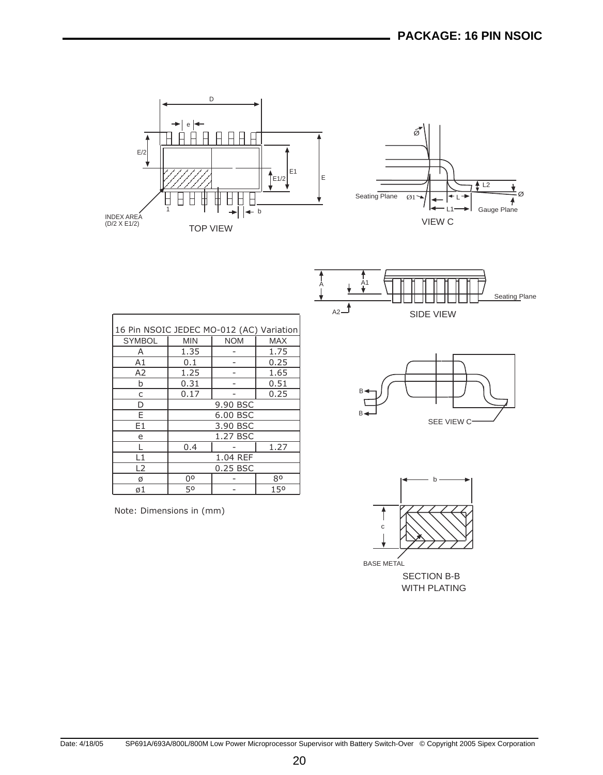





| В | SEE VIEW C- |  |
|---|-------------|--|



WITH PLATING

| 16 Pin NSOIC JEDEC MO-012 (AC) Variation |            |            |            |  |  |  |
|------------------------------------------|------------|------------|------------|--|--|--|
| <b>SYMBOL</b>                            | <b>MIN</b> | <b>NOM</b> | <b>MAX</b> |  |  |  |
| А                                        | 1.35       |            | 1.75       |  |  |  |
| A1                                       | 0.1        |            | 0.25       |  |  |  |
| A2                                       | 1.25       |            | 1.65       |  |  |  |
| b                                        | 0.31       |            | 0.51       |  |  |  |
| C                                        | 0.17       |            | 0.25       |  |  |  |
| D                                        | 9.90 BSC   |            |            |  |  |  |
| F                                        | 6.00 BSC   |            |            |  |  |  |
| E1                                       | 3.90 BSC   |            |            |  |  |  |
| e                                        | 1.27 BSC   |            |            |  |  |  |
|                                          | 0.4        |            | 1.27       |  |  |  |
| L1                                       | 1.04 REF   |            |            |  |  |  |
| L <sub>2</sub>                           | 0.25 BSC   |            |            |  |  |  |
| ø                                        | 00         |            | 80         |  |  |  |
| ø1                                       | 50         |            | 150        |  |  |  |

Note: Dimensions in (mm)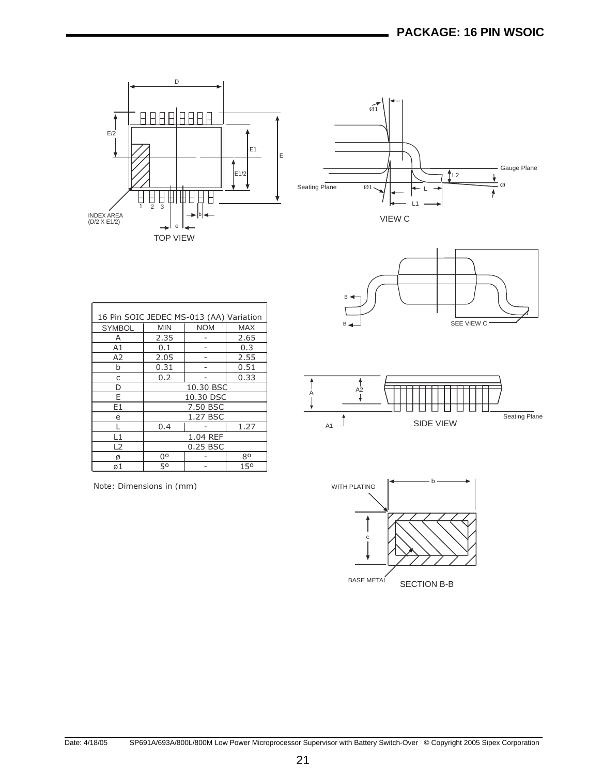





| A2 |                  |               |
|----|------------------|---------------|
|    | <b>SIDE VIEW</b> | Seating Plane |

| <b>WITH PLATING</b> | h                  |
|---------------------|--------------------|
| c                   |                    |
| <b>BASE METAL</b>   | <b>SECTION B-B</b> |

| 16 Pin SOIC JEDEC MS-013 (AA) Variation |                |            |            |  |  |
|-----------------------------------------|----------------|------------|------------|--|--|
| <b>SYMBOL</b>                           | <b>MIN</b>     | <b>NOM</b> | <b>MAX</b> |  |  |
| A                                       | 2.35           |            | 2.65       |  |  |
| A1                                      | 0.1            |            | 0.3        |  |  |
| A2                                      | 2.05           |            | 2.55       |  |  |
| b                                       | 0.31           |            | 0.51       |  |  |
| C                                       | 0.2            |            | 0.33       |  |  |
| D                                       | 10.30 BSC      |            |            |  |  |
| E                                       | 10.30 DSC      |            |            |  |  |
| E1                                      | 7.50 BSC       |            |            |  |  |
| e                                       | 1.27 BSC       |            |            |  |  |
|                                         | 0.4            |            | 1.27       |  |  |
| L1                                      | 1.04 REF       |            |            |  |  |
| L2                                      | 0.25 BSC       |            |            |  |  |
| Ø                                       | 0 <sup>o</sup> |            | 80         |  |  |
| ø1                                      | 50             |            | 150        |  |  |

Note: Dimensions in (mm)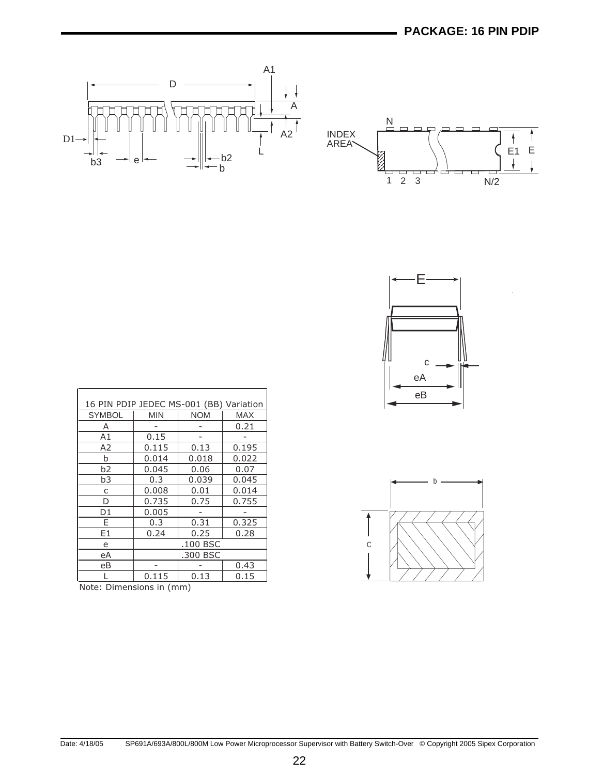





| 16 PIN PDIP JEDEC MS-001 (BB) Variation |            |            |       |
|-----------------------------------------|------------|------------|-------|
| <b>SYMBOL</b>                           | <b>MIN</b> | <b>NOM</b> | MAX   |
| A                                       |            |            | 0.21  |
| A1                                      | 0.15       |            |       |
| A2                                      | 0.115      | 0.13       | 0.195 |
| b                                       | 0.014      | 0.018      | 0.022 |
| b2                                      | 0.045      | 0.06       | 0.07  |
| b3                                      | 0.3        | 0.039      | 0.045 |
| C                                       | 0.008      | 0.01       | 0.014 |
| D                                       | 0.735      | 0.75       | 0.755 |
| D1                                      | 0.005      |            |       |
| F                                       | 0.3        | 0.31       | 0.325 |
| E1                                      | 0.24       | 0.25       | 0.28  |
| e                                       | .100 BSC   |            |       |
| eA                                      | .300 BSC   |            |       |
| еB                                      |            |            | 0.43  |
|                                         | 0.115      | 0.13       | 0.15  |

Note: Dimensions in (mm)

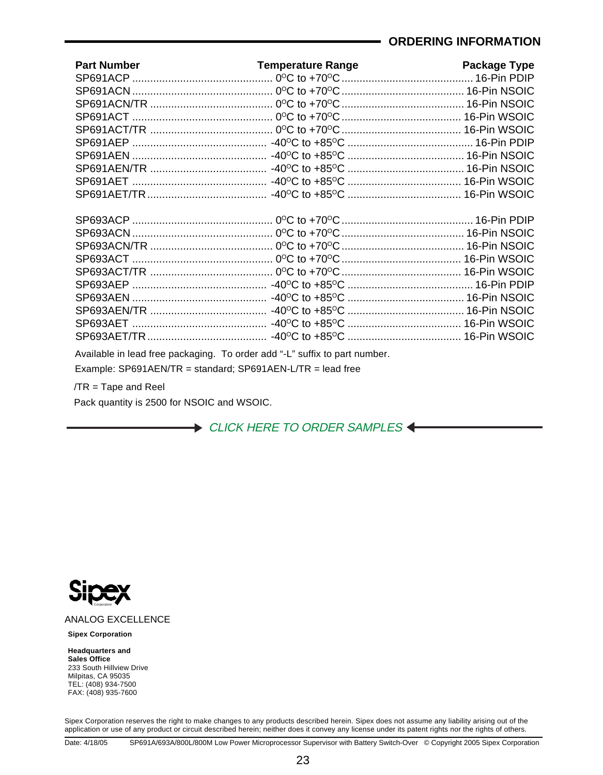#### **ORDERING INFORMATION**

| <b>Part Number</b> | <b>Temperature Range</b> | <b>Package Type</b> |
|--------------------|--------------------------|---------------------|
|                    |                          |                     |
|                    |                          |                     |
|                    |                          |                     |
|                    |                          |                     |
|                    |                          |                     |
|                    |                          |                     |
|                    |                          |                     |
|                    |                          |                     |
|                    |                          |                     |
|                    |                          |                     |
|                    |                          |                     |
|                    |                          |                     |
|                    |                          |                     |
|                    |                          |                     |
|                    |                          |                     |
|                    |                          |                     |
|                    |                          |                     |
|                    |                          |                     |
|                    |                          |                     |
|                    |                          |                     |
|                    |                          |                     |
|                    |                          |                     |

Available in lead free packaging. To order add "-L" suffix to part number.

Example: SP691AEN/TR = standard; SP691AEN-L/TR = lead free

/TR = Tape and Reel

Pack quantity is 2500 for NSOIC and WSOIC.

[CLICK HERE TO ORDER SAMPLES](http://www.sipex.com/orderSamples.aspx) <



#### ANALOG EXCELLENCE

**Sipex Corporation**

**Headquarters and Sales Office**  233 South Hillview Drive Milpitas, CA 95035 TEL: (408) 934-7500 FAX: (408) 935-7600

Sipex Corporation reserves the right to make changes to any products described herein. Sipex does not assume any liability arising out of the application or use of any product or circuit described herein; neither does it convey any license under its patent rights nor the rights of others.